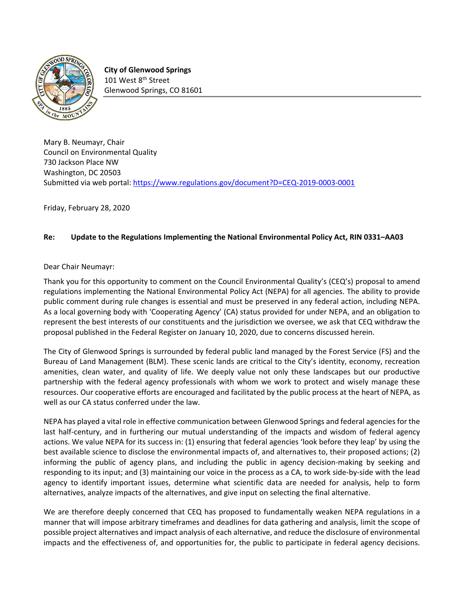

**City of Glenwood Springs** 101 West 8<sup>th</sup> Street Glenwood Springs, CO 81601

Mary B. Neumayr, Chair Council on Environmental Quality 730 Jackson Place NW Washington, DC 20503 Submitted via web portal: <https://www.regulations.gov/document?D=CEQ-2019-0003-0001>

Friday, February 28, 2020

## **Re: Update to the Regulations Implementing the National Environmental Policy Act, RIN 0331–AA03**

Dear Chair Neumayr:

Thank you for this opportunity to comment on the Council Environmental Quality's (CEQ's) proposal to amend regulations implementing the National Environmental Policy Act (NEPA) for all agencies. The ability to provide public comment during rule changes is essential and must be preserved in any federal action, including NEPA. As a local governing body with 'Cooperating Agency' (CA) status provided for under NEPA, and an obligation to represent the best interests of our constituents and the jurisdiction we oversee, we ask that CEQ withdraw the proposal published in the Federal Register on January 10, 2020, due to concerns discussed herein.

The City of Glenwood Springs is surrounded by federal public land managed by the Forest Service (FS) and the Bureau of Land Management (BLM). These scenic lands are critical to the City's identity, economy, recreation amenities, clean water, and quality of life. We deeply value not only these landscapes but our productive partnership with the federal agency professionals with whom we work to protect and wisely manage these resources. Our cooperative efforts are encouraged and facilitated by the public process at the heart of NEPA, as well as our CA status conferred under the law.

NEPA has played a vital role in effective communication between Glenwood Springs and federal agencies for the last half-century, and in furthering our mutual understanding of the impacts and wisdom of federal agency actions. We value NEPA for its success in: (1) ensuring that federal agencies 'look before they leap' by using the best available science to disclose the environmental impacts of, and alternatives to, their proposed actions; (2) informing the public of agency plans, and including the public in agency decision-making by seeking and responding to its input; and (3) maintaining our voice in the process as a CA, to work side-by-side with the lead agency to identify important issues, determine what scientific data are needed for analysis, help to form alternatives, analyze impacts of the alternatives, and give input on selecting the final alternative.

We are therefore deeply concerned that CEQ has proposed to fundamentally weaken NEPA regulations in a manner that will impose arbitrary timeframes and deadlines for data gathering and analysis, limit the scope of possible project alternatives and impact analysis of each alternative, and reduce the disclosure of environmental impacts and the effectiveness of, and opportunities for, the public to participate in federal agency decisions.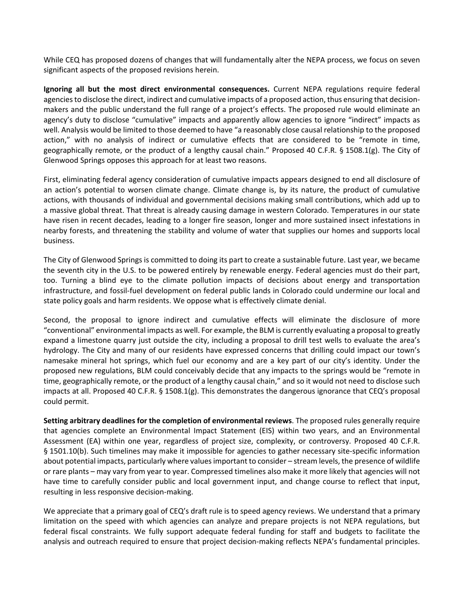While CEQ has proposed dozens of changes that will fundamentally alter the NEPA process, we focus on seven significant aspects of the proposed revisions herein.

**Ignoring all but the most direct environmental consequences.** Current NEPA regulations require federal agenciesto disclose the direct, indirect and cumulative impacts of a proposed action, thus ensuring that decisionmakers and the public understand the full range of a project's effects. The proposed rule would eliminate an agency's duty to disclose "cumulative" impacts and apparently allow agencies to ignore "indirect" impacts as well. Analysis would be limited to those deemed to have "a reasonably close causal relationship to the proposed action," with no analysis of indirect or cumulative effects that are considered to be "remote in time, geographically remote, or the product of a lengthy causal chain." Proposed 40 C.F.R. § 1508.1(g). The City of Glenwood Springs opposes this approach for at least two reasons.

First, eliminating federal agency consideration of cumulative impacts appears designed to end all disclosure of an action's potential to worsen climate change. Climate change is, by its nature, the product of cumulative actions, with thousands of individual and governmental decisions making small contributions, which add up to a massive global threat. That threat is already causing damage in western Colorado. Temperatures in our state have risen in recent decades, leading to a longer fire season, longer and more sustained insect infestations in nearby forests, and threatening the stability and volume of water that supplies our homes and supports local business.

The City of Glenwood Springs is committed to doing its part to create a sustainable future. Last year, we became the seventh city in the U.S. to be powered entirely by renewable energy. Federal agencies must do their part, too. Turning a blind eye to the climate pollution impacts of decisions about energy and transportation infrastructure, and fossil-fuel development on federal public lands in Colorado could undermine our local and state policy goals and harm residents. We oppose what is effectively climate denial.

Second, the proposal to ignore indirect and cumulative effects will eliminate the disclosure of more "conventional" environmental impacts as well. For example, the BLM is currently evaluating a proposal to greatly expand a limestone quarry just outside the city, including a proposal to drill test wells to evaluate the area's hydrology. The City and many of our residents have expressed concerns that drilling could impact our town's namesake mineral hot springs, which fuel our economy and are a key part of our city's identity. Under the proposed new regulations, BLM could conceivably decide that any impacts to the springs would be "remote in time, geographically remote, or the product of a lengthy causal chain," and so it would not need to disclose such impacts at all. Proposed 40 C.F.R. § 1508.1(g). This demonstrates the dangerous ignorance that CEQ's proposal could permit.

**Setting arbitrary deadlines for the completion of environmental reviews**. The proposed rules generally require that agencies complete an Environmental Impact Statement (EIS) within two years, and an Environmental Assessment (EA) within one year, regardless of project size, complexity, or controversy. Proposed 40 C.F.R. § 1501.10(b). Such timelines may make it impossible for agencies to gather necessary site-specific information about potential impacts, particularly where valuesimportant to consider – stream levels, the presence of wildlife or rare plants – may vary from year to year. Compressed timelines also make it more likely that agencies will not have time to carefully consider public and local government input, and change course to reflect that input, resulting in less responsive decision-making.

We appreciate that a primary goal of CEQ's draft rule is to speed agency reviews. We understand that a primary limitation on the speed with which agencies can analyze and prepare projects is not NEPA regulations, but federal fiscal constraints. We fully support adequate federal funding for staff and budgets to facilitate the analysis and outreach required to ensure that project decision-making reflects NEPA's fundamental principles.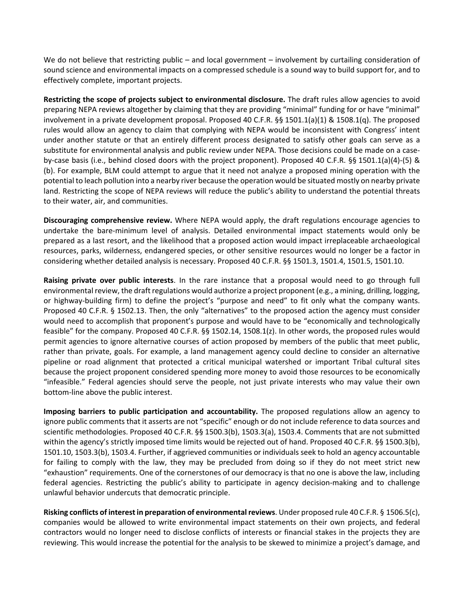We do not believe that restricting public – and local government – involvement by curtailing consideration of sound science and environmental impacts on a compressed schedule is a sound way to build support for, and to effectively complete, important projects.

**Restricting the scope of projects subject to environmental disclosure.** The draft rules allow agencies to avoid preparing NEPA reviews altogether by claiming that they are providing "minimal" funding for or have "minimal" involvement in a private development proposal. Proposed 40 C.F.R. §§ 1501.1(a)(1) & 1508.1(q). The proposed rules would allow an agency to claim that complying with NEPA would be inconsistent with Congress' intent under another statute or that an entirely different process designated to satisfy other goals can serve as a substitute for environmental analysis and public review under NEPA. Those decisions could be made on a caseby-case basis (i.e., behind closed doors with the project proponent). Proposed 40 C.F.R. §§ 1501.1(a)(4)-(5) & (b). For example, BLM could attempt to argue that it need not analyze a proposed mining operation with the potential to leach pollution into a nearby river because the operation would be situated mostly on nearby private land. Restricting the scope of NEPA reviews will reduce the public's ability to understand the potential threats to their water, air, and communities.

**Discouraging comprehensive review.** Where NEPA would apply, the draft regulations encourage agencies to undertake the bare-minimum level of analysis. Detailed environmental impact statements would only be prepared as a last resort, and the likelihood that a proposed action would impact irreplaceable archaeological resources, parks, wilderness, endangered species, or other sensitive resources would no longer be a factor in considering whether detailed analysis is necessary. Proposed 40 C.F.R. §§ 1501.3, 1501.4, 1501.5, 1501.10.

**Raising private over public interests**. In the rare instance that a proposal would need to go through full environmental review, the draft regulations would authorize a project proponent (e.g., a mining, drilling, logging, or highway-building firm) to define the project's "purpose and need" to fit only what the company wants. Proposed 40 C.F.R. § 1502.13. Then, the only "alternatives" to the proposed action the agency must consider would need to accomplish that proponent's purpose and would have to be "economically and technologically feasible" for the company. Proposed 40 C.F.R. §§ 1502.14, 1508.1(z). In other words, the proposed rules would permit agencies to ignore alternative courses of action proposed by members of the public that meet public, rather than private, goals. For example, a land management agency could decline to consider an alternative pipeline or road alignment that protected a critical municipal watershed or important Tribal cultural sites because the project proponent considered spending more money to avoid those resources to be economically "infeasible." Federal agencies should serve the people, not just private interests who may value their own bottom-line above the public interest.

**Imposing barriers to public participation and accountability.** The proposed regulations allow an agency to ignore public comments that it asserts are not "specific" enough or do not include reference to data sources and scientific methodologies. Proposed 40 C.F.R. §§ 1500.3(b), 1503.3(a), 1503.4. Comments that are not submitted within the agency's strictly imposed time limits would be rejected out of hand. Proposed 40 C.F.R. §§ 1500.3(b), 1501.10, 1503.3(b), 1503.4. Further, if aggrieved communities or individuals seek to hold an agency accountable for failing to comply with the law, they may be precluded from doing so if they do not meet strict new "exhaustion" requirements. One of the cornerstones of our democracy is that no one is above the law, including federal agencies. Restricting the public's ability to participate in agency decision-making and to challenge unlawful behavior undercuts that democratic principle.

**Risking conflicts of interest in preparation of environmentalreviews**. Under proposed rule 40 C.F.R. § 1506.5(c), companies would be allowed to write environmental impact statements on their own projects, and federal contractors would no longer need to disclose conflicts of interests or financial stakes in the projects they are reviewing. This would increase the potential for the analysis to be skewed to minimize a project's damage, and